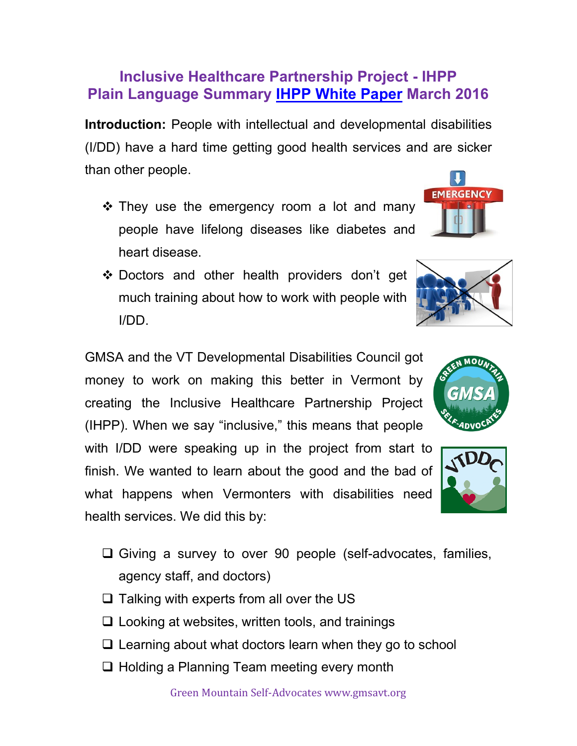## **Inclusive Healthcare Partnership Project - IHPP Plain Language Summary [IHPP White Paper](https://healthcareinnovation.vermont.gov/sites/vhcip/files/documents/IHPP%20Final%20Paper%203-31-16.pdf) March 2016**

**Introduction:** People with intellectual and developmental disabilities (I/DD) have a hard time getting good health services and are sicker than other people.

- ❖ They use the emergency room a lot and many people have lifelong diseases like diabetes and heart disease.
- ❖ Doctors and other health providers don't get much training about how to work with people with I/DD.

GMSA and the VT Developmental Disabilities Council got money to work on making this better in Vermont by creating the Inclusive Healthcare Partnership Project (IHPP). When we say "inclusive," this means that people

with I/DD were speaking up in the project from start to finish. We wanted to learn about the good and the bad of what happens when Vermonters with disabilities need health services. We did this by:

- ❑ Giving a survey to over 90 people (self-advocates, families, agency staff, and doctors)
- $\Box$  Talking with experts from all over the US
- $\Box$  Looking at websites, written tools, and trainings
- ❑ Learning about what doctors learn when they go to school
- ❑ Holding a Planning Team meeting every month





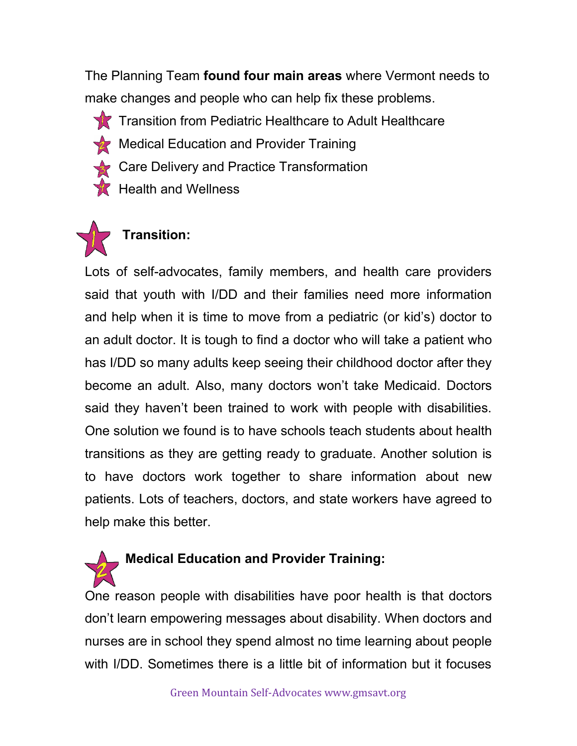The Planning Team **found four main areas** where Vermont needs to make changes and people who can help fix these problems.

**TR** Transition from Pediatric Healthcare to Adult Healthcare

- Medical Education and Provider Training
- Care Delivery and Practice Transformation
- $\mathcal K$  Health and Wellness



## **Transition:**

Lots of self-advocates, family members, and health care providers said that youth with I/DD and their families need more information and help when it is time to move from a pediatric (or kid's) doctor to an adult doctor. It is tough to find a doctor who will take a patient who has I/DD so many adults keep seeing their childhood doctor after they become an adult. Also, many doctors won't take Medicaid. Doctors said they haven't been trained to work with people with disabilities. One solution we found is to have schools teach students about health transitions as they are getting ready to graduate. Another solution is to have doctors work together to share information about new patients. Lots of teachers, doctors, and state workers have agreed to help make this better.

**Medical Education and Provider Training:** 

One reason people with disabilities have poor health is that doctors don't learn empowering messages about disability. When doctors and nurses are in school they spend almost no time learning about people with I/DD. Sometimes there is a little bit of information but it focuses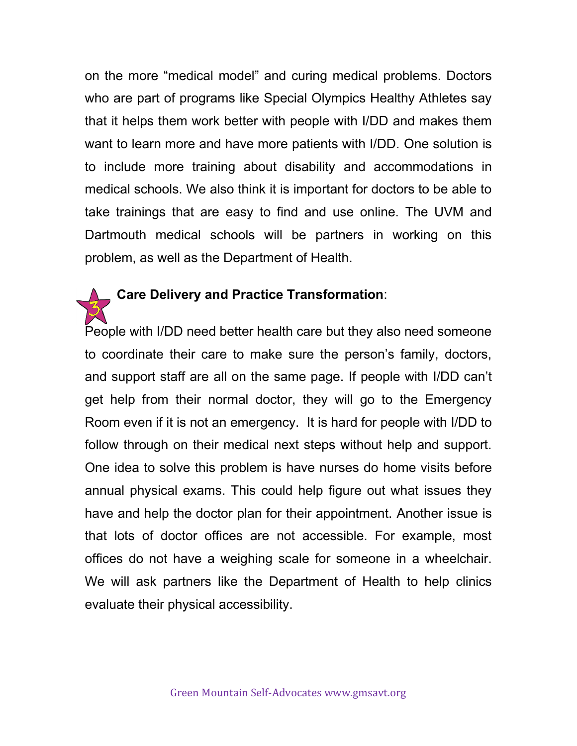on the more "medical model" and curing medical problems. Doctors who are part of programs like Special Olympics Healthy Athletes say that it helps them work better with people with I/DD and makes them want to learn more and have more patients with I/DD. One solution is to include more training about disability and accommodations in medical schools. We also think it is important for doctors to be able to take trainings that are easy to find and use online. The UVM and Dartmouth medical schools will be partners in working on this problem, as well as the Department of Health.

## **Care Delivery and Practice Transformation**:

People with I/DD need better health care but they also need someone to coordinate their care to make sure the person's family, doctors, and support staff are all on the same page. If people with I/DD can't get help from their normal doctor, they will go to the Emergency Room even if it is not an emergency. It is hard for people with I/DD to follow through on their medical next steps without help and support. One idea to solve this problem is have nurses do home visits before annual physical exams. This could help figure out what issues they have and help the doctor plan for their appointment. Another issue is that lots of doctor offices are not accessible. For example, most offices do not have a weighing scale for someone in a wheelchair. We will ask partners like the Department of Health to help clinics evaluate their physical accessibility.